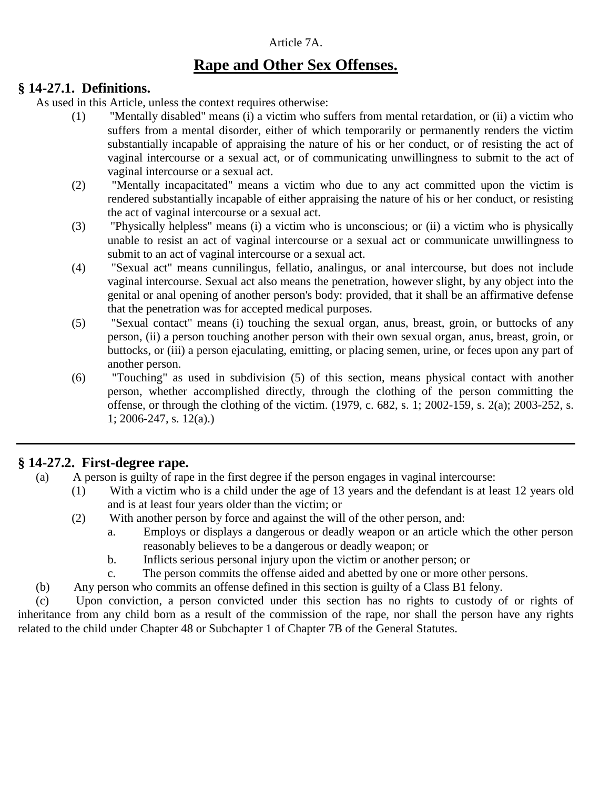#### Article 7A.

# **Rape and Other Sex Offenses.**

#### **§ 14-27.1. Definitions.**

As used in this Article, unless the context requires otherwise:

- (1) "Mentally disabled" means (i) a victim who suffers from mental retardation, or (ii) a victim who suffers from a mental disorder, either of which temporarily or permanently renders the victim substantially incapable of appraising the nature of his or her conduct, or of resisting the act of vaginal intercourse or a sexual act, or of communicating unwillingness to submit to the act of vaginal intercourse or a sexual act.
- (2) "Mentally incapacitated" means a victim who due to any act committed upon the victim is rendered substantially incapable of either appraising the nature of his or her conduct, or resisting the act of vaginal intercourse or a sexual act.
- (3) "Physically helpless" means (i) a victim who is unconscious; or (ii) a victim who is physically unable to resist an act of vaginal intercourse or a sexual act or communicate unwillingness to submit to an act of vaginal intercourse or a sexual act.
- (4) "Sexual act" means cunnilingus, fellatio, analingus, or anal intercourse, but does not include vaginal intercourse. Sexual act also means the penetration, however slight, by any object into the genital or anal opening of another person's body: provided, that it shall be an affirmative defense that the penetration was for accepted medical purposes.
- (5) "Sexual contact" means (i) touching the sexual organ, anus, breast, groin, or buttocks of any person, (ii) a person touching another person with their own sexual organ, anus, breast, groin, or buttocks, or (iii) a person ejaculating, emitting, or placing semen, urine, or feces upon any part of another person.
- (6) "Touching" as used in subdivision (5) of this section, means physical contact with another person, whether accomplished directly, through the clothing of the person committing the offense, or through the clothing of the victim. (1979, c. 682, s. 1; 2002-159, s. 2(a); 2003-252, s. 1; 2006-247, s. 12(a).)

# **§ 14-27.2. First-degree rape.**

- (a) A person is guilty of rape in the first degree if the person engages in vaginal intercourse:
	- (1) With a victim who is a child under the age of 13 years and the defendant is at least 12 years old and is at least four years older than the victim; or
	- (2) With another person by force and against the will of the other person, and:
		- a. Employs or displays a dangerous or deadly weapon or an article which the other person reasonably believes to be a dangerous or deadly weapon; or
		- b. Inflicts serious personal injury upon the victim or another person; or
		- c. The person commits the offense aided and abetted by one or more other persons.
- (b) Any person who commits an offense defined in this section is guilty of a Class B1 felony.

(c) Upon conviction, a person convicted under this section has no rights to custody of or rights of inheritance from any child born as a result of the commission of the rape, nor shall the person have any rights related to the child under Chapter 48 or Subchapter 1 of Chapter 7B of the General Statutes.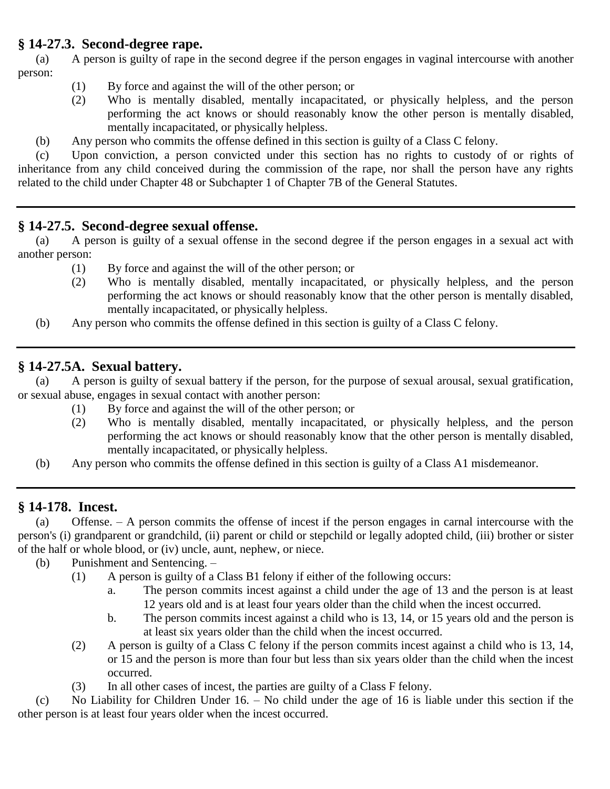# **§ 14-27.3. Second-degree rape.**

(a) A person is guilty of rape in the second degree if the person engages in vaginal intercourse with another person:

- (1) By force and against the will of the other person; or
- (2) Who is mentally disabled, mentally incapacitated, or physically helpless, and the person performing the act knows or should reasonably know the other person is mentally disabled, mentally incapacitated, or physically helpless.
- (b) Any person who commits the offense defined in this section is guilty of a Class C felony.

(c) Upon conviction, a person convicted under this section has no rights to custody of or rights of inheritance from any child conceived during the commission of the rape, nor shall the person have any rights related to the child under Chapter 48 or Subchapter 1 of Chapter 7B of the General Statutes.

# **§ 14-27.5. Second-degree sexual offense.**

(a) A person is guilty of a sexual offense in the second degree if the person engages in a sexual act with another person:

- (1) By force and against the will of the other person; or
- (2) Who is mentally disabled, mentally incapacitated, or physically helpless, and the person performing the act knows or should reasonably know that the other person is mentally disabled, mentally incapacitated, or physically helpless.
- (b) Any person who commits the offense defined in this section is guilty of a Class C felony.

# **§ 14-27.5A. Sexual battery.**

(a) A person is guilty of sexual battery if the person, for the purpose of sexual arousal, sexual gratification, or sexual abuse, engages in sexual contact with another person:

- (1) By force and against the will of the other person; or
- (2) Who is mentally disabled, mentally incapacitated, or physically helpless, and the person performing the act knows or should reasonably know that the other person is mentally disabled, mentally incapacitated, or physically helpless.
- (b) Any person who commits the offense defined in this section is guilty of a Class A1 misdemeanor.

# **§ 14-178. Incest.**

(a) Offense. – A person commits the offense of incest if the person engages in carnal intercourse with the person's (i) grandparent or grandchild, (ii) parent or child or stepchild or legally adopted child, (iii) brother or sister of the half or whole blood, or (iv) uncle, aunt, nephew, or niece.

- (b) Punishment and Sentencing.
	- (1) A person is guilty of a Class B1 felony if either of the following occurs:
		- a. The person commits incest against a child under the age of 13 and the person is at least 12 years old and is at least four years older than the child when the incest occurred.
		- b. The person commits incest against a child who is 13, 14, or 15 years old and the person is at least six years older than the child when the incest occurred.
	- (2) A person is guilty of a Class C felony if the person commits incest against a child who is 13, 14, or 15 and the person is more than four but less than six years older than the child when the incest occurred.
	- (3) In all other cases of incest, the parties are guilty of a Class F felony.

(c) No Liability for Children Under 16. – No child under the age of 16 is liable under this section if the other person is at least four years older when the incest occurred.